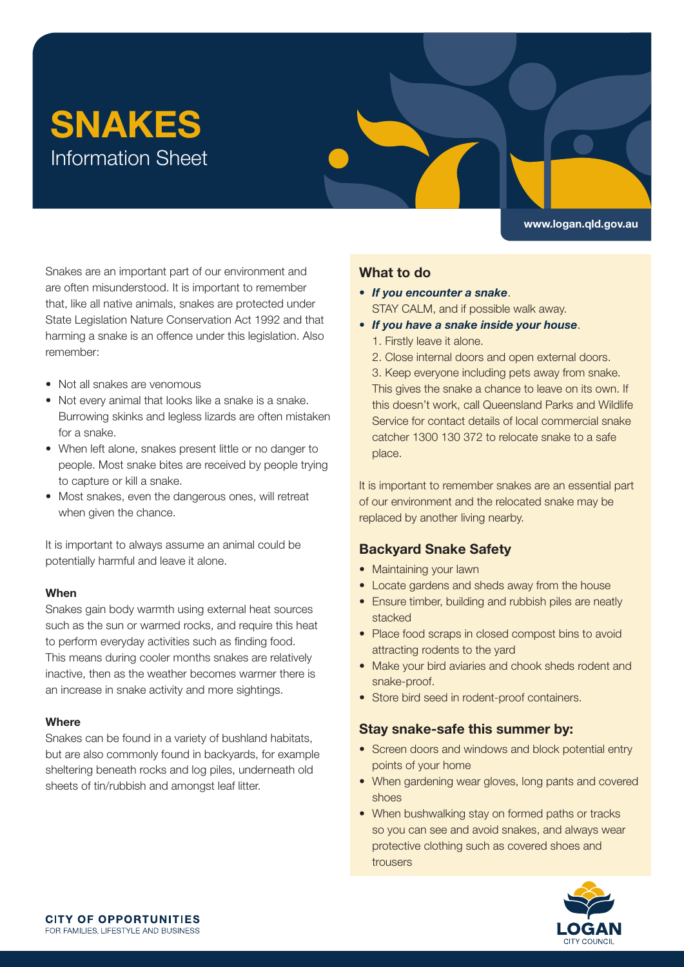# SNAKES Information Sheet

<www.logan.qld.gov.au>

Snakes are an important part of our environment and are often misunderstood. It is important to remember that, like all native animals, snakes are protected under State Legislation Nature Conservation Act 1992 and that harming a snake is an offence under this legislation. Also remember:

- Not all snakes are venomous
- Not every animal that looks like a snake is a snake. Burrowing skinks and legless lizards are often mistaken for a snake.
- When left alone, snakes present little or no danger to people. Most snake bites are received by people trying to capture or kill a snake.
- Most snakes, even the dangerous ones, will retreat when given the chance.

It is important to always assume an animal could be potentially harmful and leave it alone.

#### When

Snakes gain body warmth using external heat sources such as the sun or warmed rocks, and require this heat to perform everyday activities such as fnding food. This means during cooler months snakes are relatively inactive, then as the weather becomes warmer there is an increase in snake activity and more sightings.

#### **Where**

Snakes can be found in a variety of bushland habitats, but are also commonly found in backyards, for example sheltering beneath rocks and log piles, underneath old sheets of tin/rubbish and amongst leaf litter.

## What to do

- If you encounter a snake. STAY CALM, and if possible walk away.
- If you have a snake inside your house.
	- 1. Firstly leave it alone.
	- 2. Close internal doors and open external doors.
	- 3. Keep everyone including pets away from snake.

This gives the snake a chance to leave on its own. If this doesn't work, call Queensland Parks and Wildlife Service for contact details of local commercial snake catcher 1300 130 372 to relocate snake to a safe place.

It is important to remember snakes are an essential part of our environment and the relocated snake may be replaced by another living nearby.

## Backyard Snake Safety

- Maintaining your lawn
- Locate gardens and sheds away from the house
- Ensure timber, building and rubbish piles are neatly stacked
- Place food scraps in closed compost bins to avoid attracting rodents to the yard
- Make your bird aviaries and chook sheds rodent and snake-proof.
- Store bird seed in rodent-proof containers.

## Stay snake-safe this summer by:

- Screen doors and windows and block potential entry points of your home
- When gardening wear gloves, long pants and covered shoes
- When bushwalking stay on formed paths or tracks so you can see and avoid snakes, and always wear protective clothing such as covered shoes and trousers